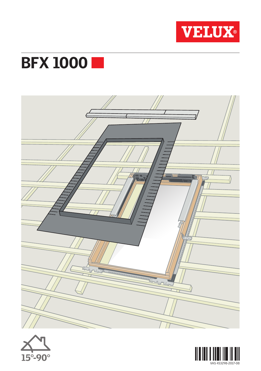

## **BFX 1000**





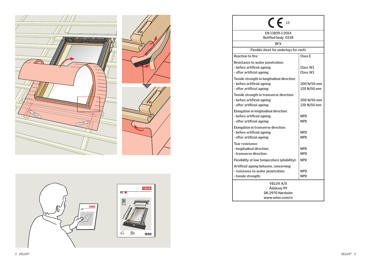



| 13                                           |             |
|----------------------------------------------|-------------|
| EN 13859-1:2014                              |             |
| Notified body: 0338                          |             |
| <b>BFX</b>                                   |             |
| Flexible sheet for underlays for roofs       |             |
| <b>Reaction to fire:</b>                     | Class E     |
| Resistance to water penetration:             |             |
| - before artificial ageing:                  | Class W1    |
| - after artificial ageing:                   | Class W1    |
| Tensile strength in longitudinal direction:  |             |
| - before artificial ageing:                  | 200 N/50 mm |
| - after artificial ageing:                   | 120 N/50 mm |
| Tensile strength in transverse direction:    |             |
| - before artificial ageing:                  | 200 N/50 mm |
| - after artificial ageing:                   | 120 N/50 mm |
| Elongation in longitudinal direction:        |             |
| - before artificial ageing:                  | <b>NPD</b>  |
| - after artificial ageing:                   | <b>NPD</b>  |
| Elongation in transverse direction:          |             |
| - before artificial ageing:                  | <b>NPD</b>  |
| - after artificial ageing:                   | <b>NPD</b>  |
| Tear resistance:                             |             |
| - longitudinal direction:                    | <b>NPD</b>  |
| - transverse direction:                      | <b>NPD</b>  |
| Flexibility at low temperature (pliability): | <b>NPD</b>  |
| Artificial ageing behavior, concerning:      |             |
| - resistance to water penetration:           | <b>NPD</b>  |
| - tensile strength:                          | <b>NPD</b>  |
| <b>VELUX A/S</b>                             |             |
| Ådalsvej 99                                  |             |
| DK-2970 Hørsholm                             |             |
| www.velux.com/ce                             |             |